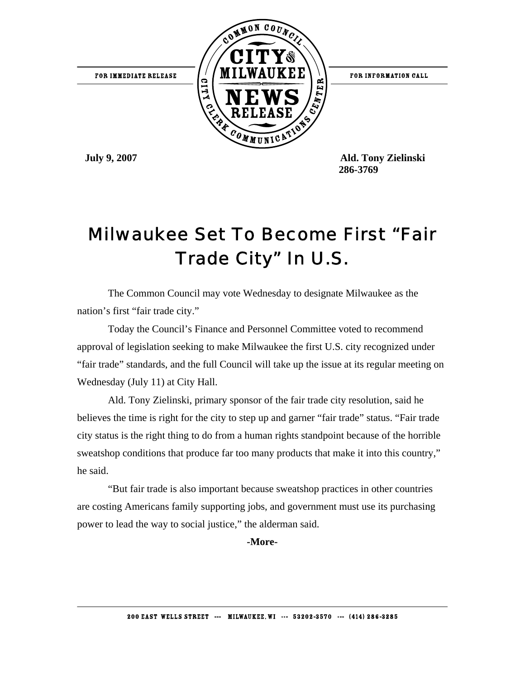

 **July 9, 2007 Ald. Tony Zielinski 286-3769**

## Milwaukee Set To Become First "Fair Trade City" In U.S.

The Common Council may vote Wednesday to designate Milwaukee as the nation's first "fair trade city."

Today the Council's Finance and Personnel Committee voted to recommend approval of legislation seeking to make Milwaukee the first U.S. city recognized under "fair trade" standards, and the full Council will take up the issue at its regular meeting on Wednesday (July 11) at City Hall.

Ald. Tony Zielinski, primary sponsor of the fair trade city resolution, said he believes the time is right for the city to step up and garner "fair trade" status. "Fair trade city status is the right thing to do from a human rights standpoint because of the horrible sweatshop conditions that produce far too many products that make it into this country," he said.

"But fair trade is also important because sweatshop practices in other countries are costing Americans family supporting jobs, and government must use its purchasing power to lead the way to social justice," the alderman said.

**-More-**